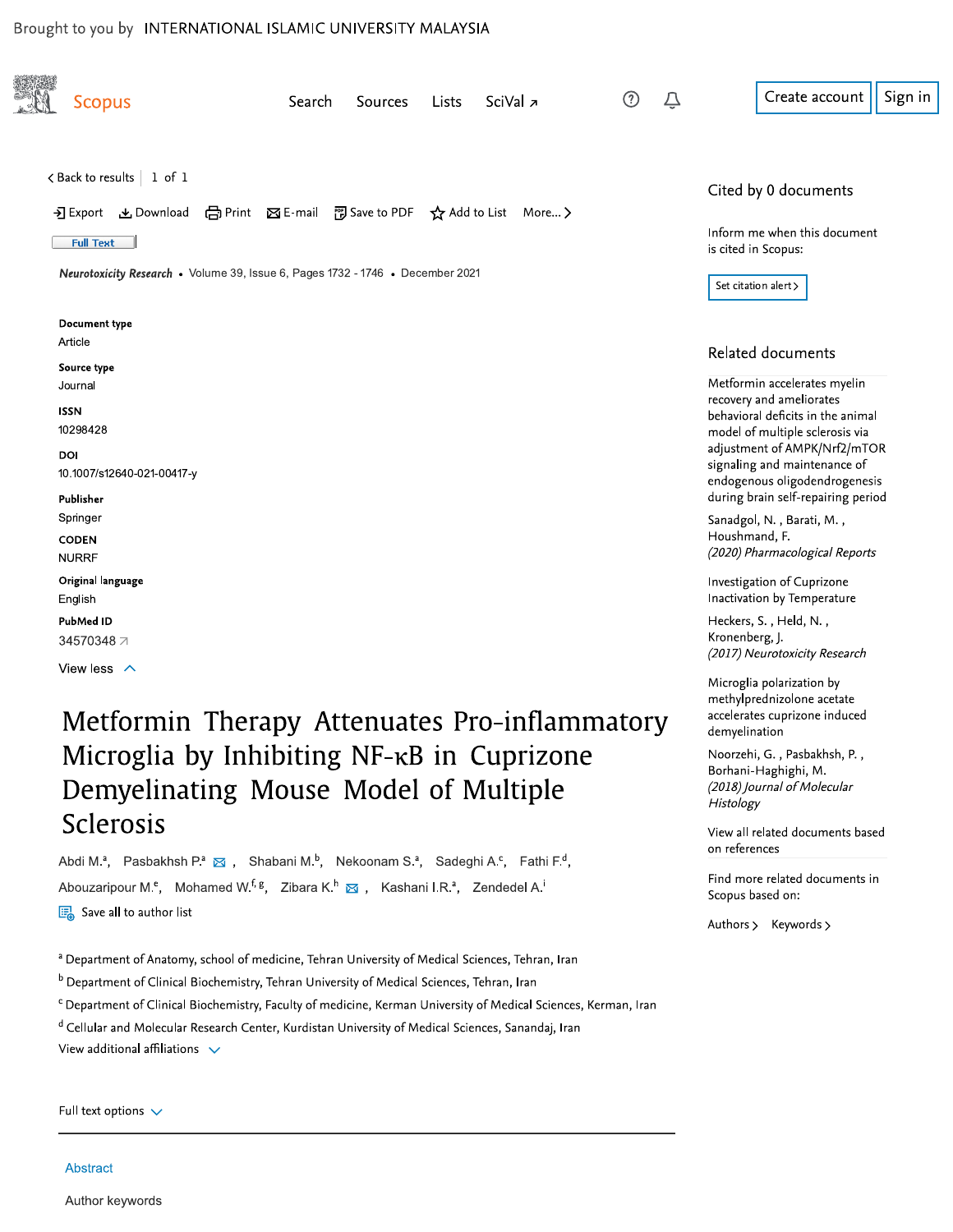#### Brought to you by INTERNATIONAL ISLAMIC UNIVERSITY MALAYSIA

| <b>Scopus</b>                                                                                                                                                                                                    | Search<br><b>Sources</b> | SciVal <sub>7</sub><br>Lists | (?)<br>Û | Sign<br>Create account                                                                                                                                                                            |
|------------------------------------------------------------------------------------------------------------------------------------------------------------------------------------------------------------------|--------------------------|------------------------------|----------|---------------------------------------------------------------------------------------------------------------------------------------------------------------------------------------------------|
| $\lt$ Back to results   1 of 1<br>→ Export と Download (금 Print ⊠ E-mail 可 Save to PDF ☆ Add to List More ><br><b>Full Text</b><br>Neurotoxicity Research • Volume 39, Issue 6, Pages 1732 - 1746 • December 2021 |                          |                              |          | Cited by 0 documents<br>Inform me when this document<br>is cited in Scopus:<br>Set citation alert >                                                                                               |
| Document type<br>Article<br>Source type<br>Journal                                                                                                                                                               |                          |                              |          | Related documents<br>Metformin accelerates myelin                                                                                                                                                 |
| <b>ISSN</b><br>10298428<br>DOI<br>10.1007/s12640-021-00417-y                                                                                                                                                     |                          |                              |          | recovery and ameliorates<br>behavioral deficits in the animal<br>model of multiple sclerosis via<br>adjustment of AMPK/Nrf2/mTOR<br>signaling and maintenance of<br>endogenous oligodendrogenesis |
| Publisher<br>Springer<br><b>CODEN</b>                                                                                                                                                                            |                          |                              |          | during brain self-repairing period<br>Sanadgol, N., Barati, M.,<br>Houshmand, F.                                                                                                                  |
| <b>NURRF</b><br>Original language<br>English                                                                                                                                                                     |                          |                              |          | (2020) Pharmacological Reports<br>Investigation of Cuprizone<br>Inactivation by Temperature                                                                                                       |
| PubMed ID<br>34570348 7<br>View less $\land$                                                                                                                                                                     |                          |                              |          | Heckers, S., Held, N.,<br>Kronenberg, J.<br>(2017) Neurotoxicity Research                                                                                                                         |
|                                                                                                                                                                                                                  |                          |                              |          | Microglia polarization by<br>methylprednizolone acetate                                                                                                                                           |

# Metformin Therapy Attenuates Pro-inflammatory Microglia by Inhibiting NF-KB in Cuprizone Demyelinating Mouse Model of Multiple Sclerosis

Abdi M.<sup>a</sup>, Pasbakhsh P.<sup>a</sup> & , Shabani M.<sup>b</sup>, Nekoonam S.<sup>a</sup>, Sadeghi A.<sup>c</sup>, Fathi F.<sup>d</sup>, Abouzaripour M.<sup>e</sup>, Mohamed W.<sup>f, g</sup>, Zibara K.<sup>h</sup> & , Kashani I.R.<sup>a</sup>, Zendedel A.<sup>i</sup> Save all to author list

a Department of Anatomy, school of medicine, Tehran University of Medical Sciences, Tehran, Iran

<sup>b</sup> Department of Clinical Biochemistry, Tehran University of Medical Sciences, Tehran, Iran

<sup>c</sup> Department of Clinical Biochemistry, Faculty of medicine, Kerman University of Medical Sciences, Kerman, Iran

<sup>d</sup> Cellular and Molecular Research Center, Kurdistan University of Medical Sciences, Sanandaj, Iran

View additional affiliations  $\sqrt{}$ 

Authors > Keywords >

accelerates cuprizone induced

Noorzehi, G., Pasbakhsh, P., Borhani-Haghighi, M.

(2018) Journal of Molecular

View all related documents based

Find more related documents in

demyelination

Histology

on references

Scopus based on:

in

Full text options  $\sqrt{}$ 

#### Abstract

Author keywords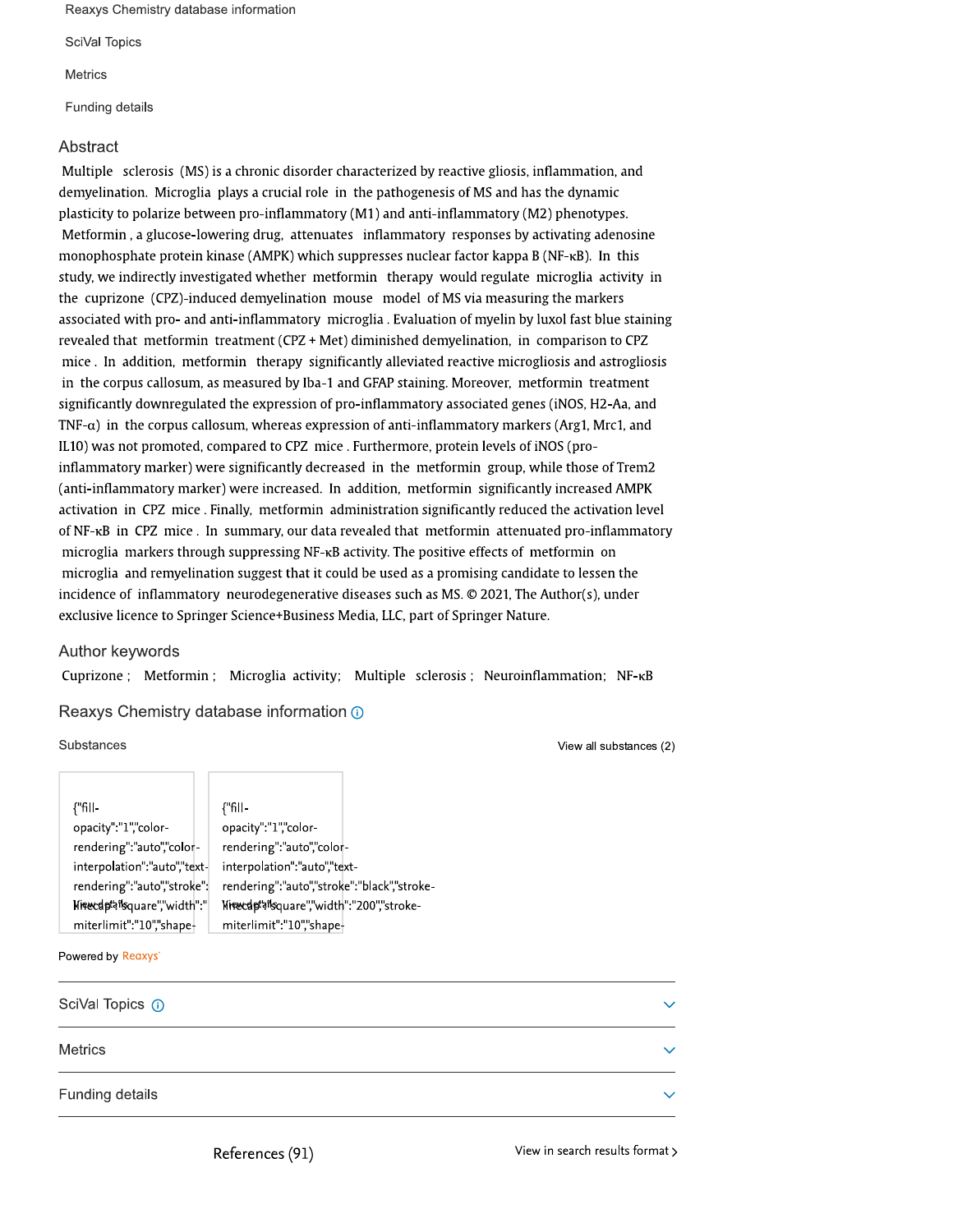Reaxys Chemistry database information

SciVal Topics

**Metrics** 

Funding details

#### Abstract

Multiple sclerosis (MS) is a chronic disorder characterized by reactive gliosis, inflammation, and demyelination. Microglia plays a crucial role in the pathogenesis of MS and has the dynamic plasticity to polarize between pro-inflammatory (M1) and anti-inflammatory (M2) phenotypes. Metformin, a glucose-lowering drug, attenuates inflammatory responses by activating adenosine monophosphate protein kinase (AMPK) which suppresses nuclear factor kappa B (NF-KB). In this study, we indirectly investigated whether metformin therapy would regulate microglia activity in the cuprizone (CPZ)-induced demyelination mouse model of MS via measuring the markers associated with pro- and anti-inflammatory microglia . Evaluation of myelin by luxol fast blue staining revealed that metformin treatment (CPZ + Met) diminished demyelination, in comparison to CPZ mice. In addition, metformin therapy significantly alleviated reactive microgliosis and astrogliosis in the corpus callosum, as measured by Iba-1 and GFAP staining. Moreover, metformin treatment significantly downregulated the expression of pro-inflammatory associated genes (iNOS, H2-Aa, and TNF- $\alpha$ ) in the corpus callosum, whereas expression of anti-inflammatory markers (Arg1, Mrc1, and IL10) was not promoted, compared to CPZ mice . Furthermore, protein levels of iNOS (proinflammatory marker) were significantly decreased in the metformin group, while those of Trem2 (anti-inflammatory marker) were increased. In addition, metformin significantly increased AMPK activation in CPZ mice. Finally, metformin administration significantly reduced the activation level of NF-<sub>KB</sub> in CPZ mice. In summary, our data revealed that metformin attenuated pro-inflammatory microglia markers through suppressing NF-<sub>KB</sub> activity. The positive effects of metformin on microglia and remyelination suggest that it could be used as a promising candidate to lessen the incidence of inflammatory neurodegenerative diseases such as MS,  $\odot$  2021, The Author(s), under exclusive licence to Springer Science+Business Media, LLC, part of Springer Nature.

#### Author keywords

Cuprizone; Metformin; Microglia activity; Multiple sclerosis; Neuroinflammation; NF-KB

#### Reaxys Chemistry database information @

#### Substances

View all substances (2)

| {"fill-                      |
|------------------------------|
| opacity":"1","color-         |
| rendering":"auto","color-    |
| interpolation":"auto","text- |
| rendering":"auto","stroke":  |
| Nirecdptaisquare","width":"  |
| miterlimit":"10","shape-     |

{"fillopacity":"1","colorrendering":"auto","colorinterpolation":"auto","textrendering":"auto","stroke":"black","stroke-Nitecdptai'square","width":"200","strokemiterlimit":"10","shape-

#### Powered by Reaxys'

| SciVal Topics (i) | $\checkmark$ |
|-------------------|--------------|
| <b>Metrics</b>    | $\checkmark$ |
| Funding details   | $\checkmark$ |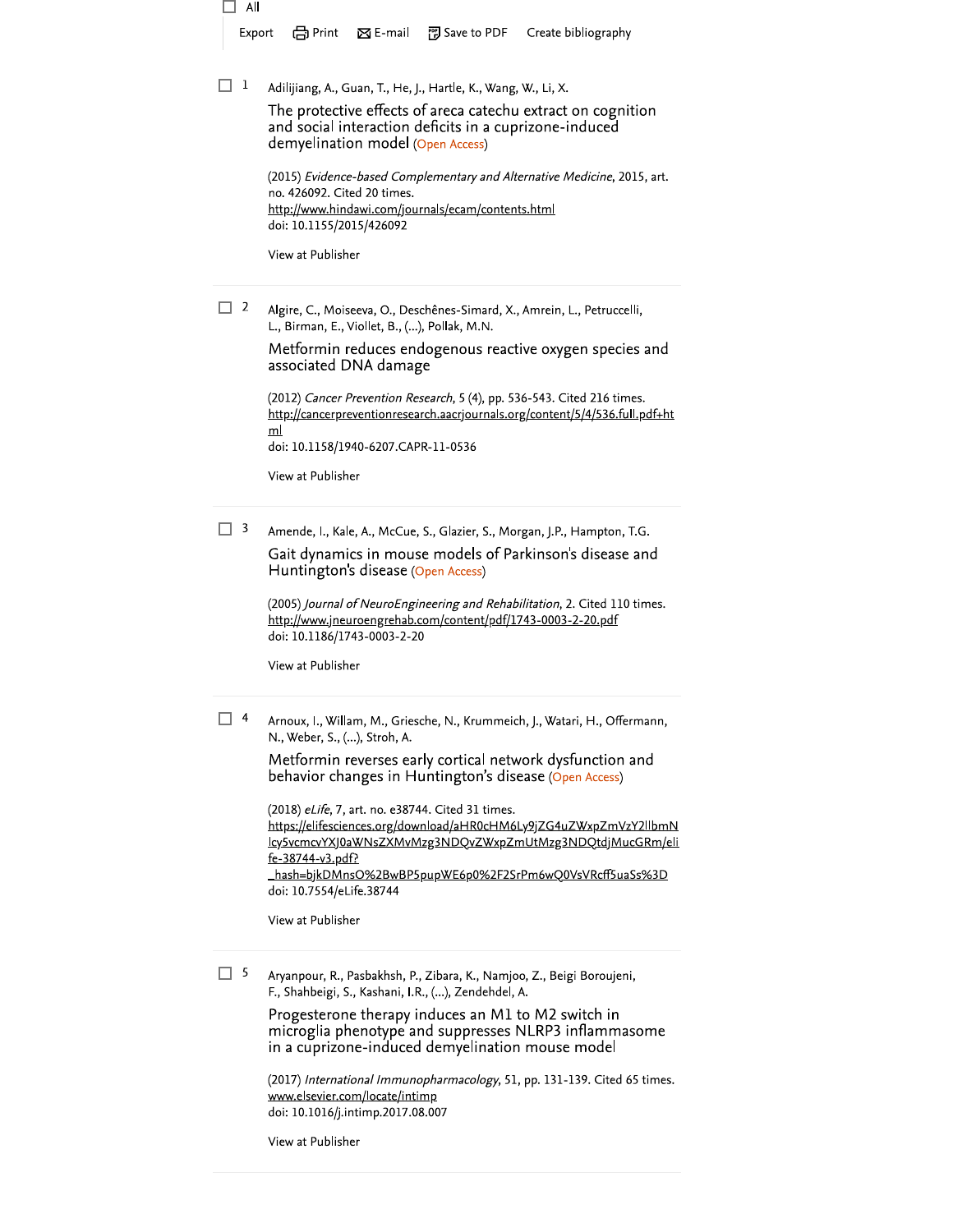□ All 門 Save to PDF Create bibliography Export <u></u> Print  $\boxtimes$  E-mail

 $\Box$  1 Adilijiang, A., Guan, T., He, J., Hartle, K., Wang, W., Li, X.

> The protective effects of areca catechu extract on cognition and social interaction deficits in a cuprizone-induced demyelination model (Open Access)

(2015) Evidence-based Complementary and Alternative Medicine, 2015, art. no. 426092. Cited 20 times. http://www.hindawi.com/journals/ecam/contents.html doi: 10.1155/2015/426092

View at Publisher

 $\Box$  2 Algire, C., Moiseeva, O., Deschênes-Simard, X., Amrein, L., Petruccelli, L., Birman, E., Viollet, B., (...), Pollak, M.N.

> Metformin reduces endogenous reactive oxygen species and associated DNA damage

(2012) Cancer Prevention Research, 5 (4), pp. 536-543. Cited 216 times. http://cancerpreventionresearch.aacrjournals.org/content/5/4/536.full.pdf+ht  $m$ doi: 10.1158/1940-6207.CAPR-11-0536

View at Publisher

 $\Box$  3 Amende, I., Kale, A., McCue, S., Glazier, S., Morgan, J.P., Hampton, T.G.

> Gait dynamics in mouse models of Parkinson's disease and Huntington's disease (Open Access)

> (2005) Journal of NeuroEngineering and Rehabilitation, 2. Cited 110 times. http://www.jneuroengrehab.com/content/pdf/1743-0003-2-20.pdf doi: 10.1186/1743-0003-2-20

View at Publisher

 $\Box$  4 Arnoux, I., Willam, M., Griesche, N., Krummeich, J., Watari, H., Offermann, N., Weber, S., (...), Stroh, A.

> Metformin reverses early cortical network dysfunction and behavior changes in Huntington's disease (Open Access)

(2018) eLife, 7, art. no. e38744. Cited 31 times. https://elifesciences.org/download/aHR0cHM6Ly9jZG4uZWxpZmVzY2llbmN lcy5vcmcvYXJ0aWNsZXMvMzg3NDQvZWxpZmUtMzg3NDQtdjMucGRm/eli fe-38744-v3.pdf? \_hash=bjkDMnsO%2BwBP5pupWE6p0%2F2SrPm6wQ0VsVRcff5uaSs%3D

doi: 10.7554/eLife.38744

View at Publisher

 $\Box$  5 Aryanpour, R., Pasbakhsh, P., Zibara, K., Namjoo, Z., Beigi Boroujeni, F., Shahbeigi, S., Kashani, I.R., (...), Zendehdel, A.

> Progesterone therapy induces an M1 to M2 switch in microglia phenotype and suppresses NLRP3 inflammasome in a cuprizone-induced demyelination mouse model

(2017) International Immunopharmacology, 51, pp. 131-139. Cited 65 times. www.elsevier.com/locate/intimp doi: 10.1016/j.intimp.2017.08.007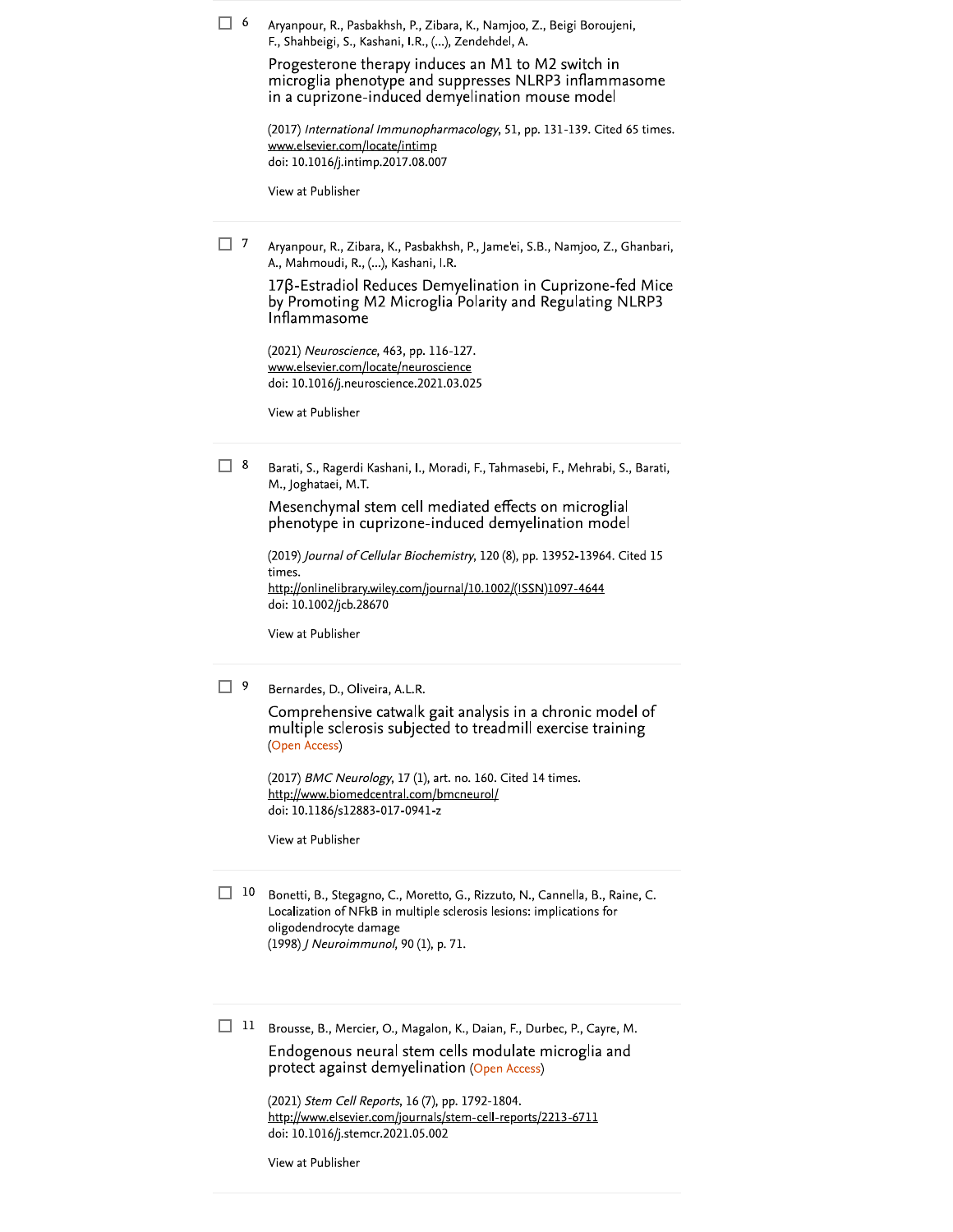$\Box$  6 Aryanpour, R., Pasbakhsh, P., Zibara, K., Namjoo, Z., Beigi Boroujeni, F., Shahbeigi, S., Kashani, I.R., (...), Zendehdel, A.

> Progesterone therapy induces an M1 to M2 switch in microglia phenotype and suppresses NLRP3 inflammasome in a cuprizone-induced demyelination mouse model

(2017) International Immunopharmacology, 51, pp. 131-139. Cited 65 times. www.elsevier.com/locate/intimp doi: 10.1016/j.intimp.2017.08.007

View at Publisher

 $\Box$ 7 Aryanpour, R., Zibara, K., Pasbakhsh, P., Jame'ei, S.B., Namjoo, Z., Ghanbari, A., Mahmoudi, R., (...), Kashani, I.R.

> 17β-Estradiol Reduces Demyelination in Cuprizone-fed Mice by Promoting M2 Microglia Polarity and Regulating NLRP3 Inflammasome

(2021) Neuroscience, 463, pp. 116-127. www.elsevier.com/locate/neuroscience doi: 10.1016/j.neuroscience.2021.03.025

View at Publisher

 $\Box$  8 Barati, S., Ragerdi Kashani, I., Moradi, F., Tahmasebi, F., Mehrabi, S., Barati, M., Joghataei, M.T.

> Mesenchymal stem cell mediated effects on microglial phenotype in cuprizone-induced demyelination model

(2019) Journal of Cellular Biochemistry, 120 (8), pp. 13952-13964. Cited 15 times. http://onlinelibrary.wiley.com/journal/10.1002/(ISSN)1097-4644 doi: 10.1002/jcb.28670

View at Publisher

 $\Box$  9 Bernardes, D., Oliveira, A.L.R.

> Comprehensive catwalk gait analysis in a chronic model of multiple sclerosis subjected to treadmill exercise training (Open Access)

(2017) BMC Neurology, 17 (1), art. no. 160. Cited 14 times. http://www.biomedcentral.com/bmcneurol/ doi: 10.1186/s12883-017-0941-z

View at Publisher

 $\Box$  10 Bonetti, B., Stegagno, C., Moretto, G., Rizzuto, N., Cannella, B., Raine, C. Localization of NFkB in multiple sclerosis lesions: implications for oligodendrocyte damage (1998) / Neuroimmunol, 90 (1), p. 71.

 $\Box$  11 Brousse, B., Mercier, O., Magalon, K., Daian, F., Durbec, P., Cayre, M.

Endogenous neural stem cells modulate microglia and protect against demyelination (Open Access)

(2021) Stem Cell Reports, 16 (7), pp. 1792-1804. http://www.elsevier.com/journals/stem-cell-reports/2213-6711 doi: 10.1016/j.stemcr.2021.05.002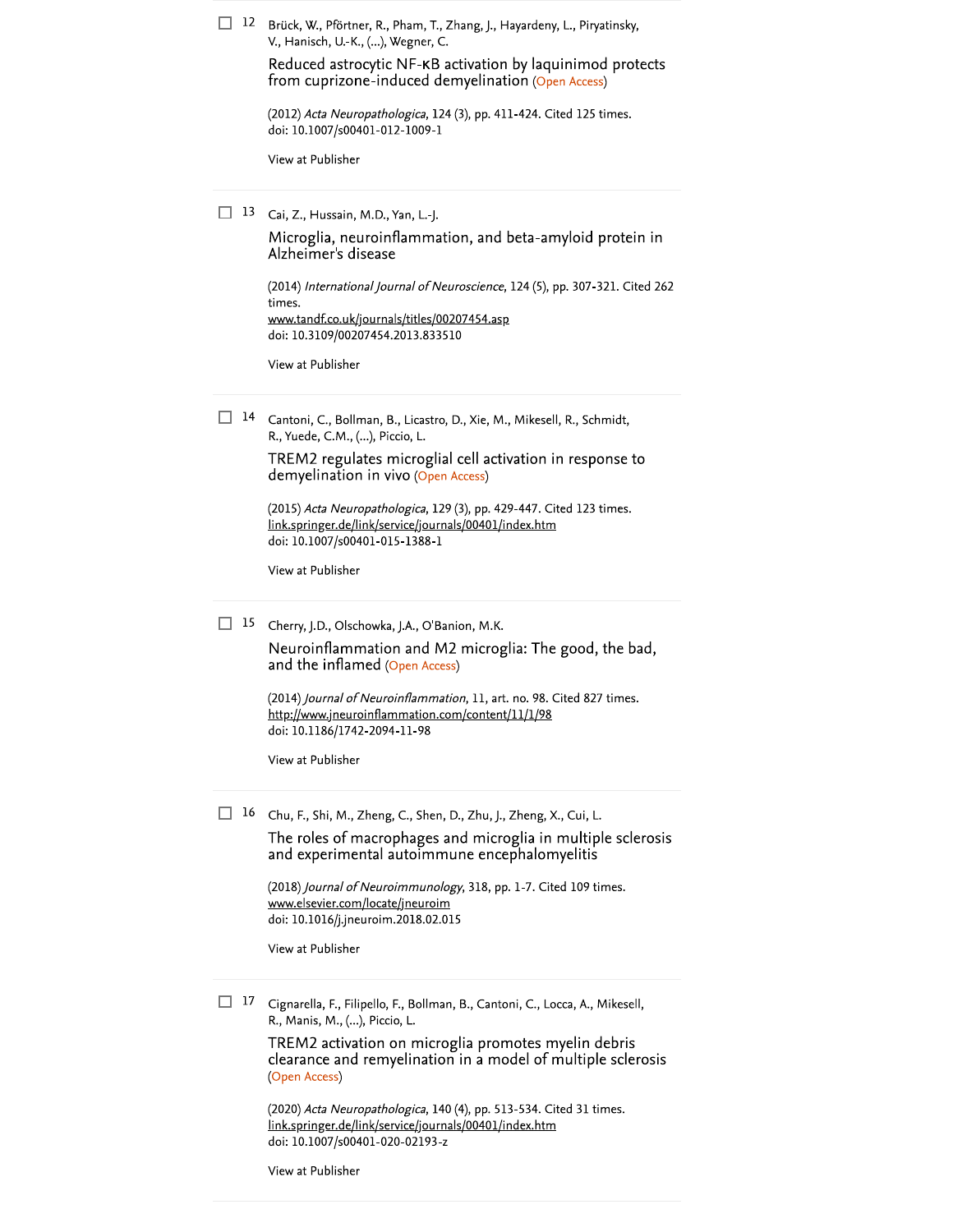| 12 | Brück, W., Pförtner, R., Pham, T., Zhang, J., Hayardeny, L., Piryatinsky,<br>V., Hanisch, U.-K., (), Wegner, C.                                                                     |
|----|-------------------------------------------------------------------------------------------------------------------------------------------------------------------------------------|
|    | Reduced astrocytic NF-KB activation by laquinimod protects<br>from cuprizone-induced demyelination (Open Access)                                                                    |
|    | (2012) Acta Neuropathologica, 124 (3), pp. 411-424. Cited 125 times.<br>doi: 10.1007/s00401-012-1009-1                                                                              |
|    | View at Publisher                                                                                                                                                                   |
| 13 | Cai, Z., Hussain, M.D., Yan, L.-J.                                                                                                                                                  |
|    | Microglia, neuroinflammation, and beta-amyloid protein in<br>Alzheimer's disease                                                                                                    |
|    | (2014) International Journal of Neuroscience, 124 (5), pp. 307-321. Cited 262<br>times.<br>www.tandf.co.uk/journals/titles/00207454.asp                                             |
|    | doi: 10.3109/00207454.2013.833510                                                                                                                                                   |
|    | View at Publisher                                                                                                                                                                   |
| 14 | Cantoni, C., Bollman, B., Licastro, D., Xie, M., Mikesell, R., Schmidt,<br>R., Yuede, C.M., (), Piccio, L.                                                                          |
|    | TREM2 regulates microglial cell activation in response to<br>demyelination in vivo (Open Access)                                                                                    |
|    | (2015) Acta Neuropathologica, 129 (3), pp. 429-447. Cited 123 times.<br>link.springer.de/link/service/journals/00401/index.htm<br>doi: 10.1007/s00401-015-1388-1                    |
|    | View at Publisher                                                                                                                                                                   |
| 15 | Cherry, J.D., Olschowka, J.A., O'Banion, M.K.<br>Neuroinflammation and M2 microglia: The good, the bad,<br>and the inflamed (Open Access)                                           |
|    |                                                                                                                                                                                     |
|    | (2014) Journal of Neuroinflammation, 11, art. no. 98. Cited 827 times.<br><u> http://www.jneuroinflammation.com/content/11/1/98</u><br>doi: 10.1186/1742-2094-11-98                 |
|    | View at Publisher                                                                                                                                                                   |
| 16 |                                                                                                                                                                                     |
|    | Chu, F., Shi, M., Zheng, C., Shen, D., Zhu, J., Zheng, X., Cui, L.<br>The roles of macrophages and microglia in multiple sclerosis<br>and experimental autoimmune encephalomyelitis |
|    | (2018) <i>Journal of Neuroimmunology</i> , 318, pp. 1-7. Cited 109 times.<br>www.elsevier.com/locate/jneuroim                                                                       |
|    | doi: 10.1016/j.jneuroim.2018.02.015<br>View at Publisher                                                                                                                            |
|    |                                                                                                                                                                                     |
| 17 | Cignarella, F., Filipello, F., Bollman, B., Cantoni, C., Locca, A., Mikesell,<br>R., Manis, M., (), Piccio, L.                                                                      |
|    | TREM2 activation on microglia promotes myelin debris<br>clearance and remyelination in a model of multiple sclerosis<br>(Open Access)                                               |
|    | (2020) Acta Neuropathologica, 140 (4), pp. 513-534. Cited 31 times.<br>link.springer.de/link/service/journals/00401/index.htm<br>doi: 10.1007/s00401-020-02193-z                    |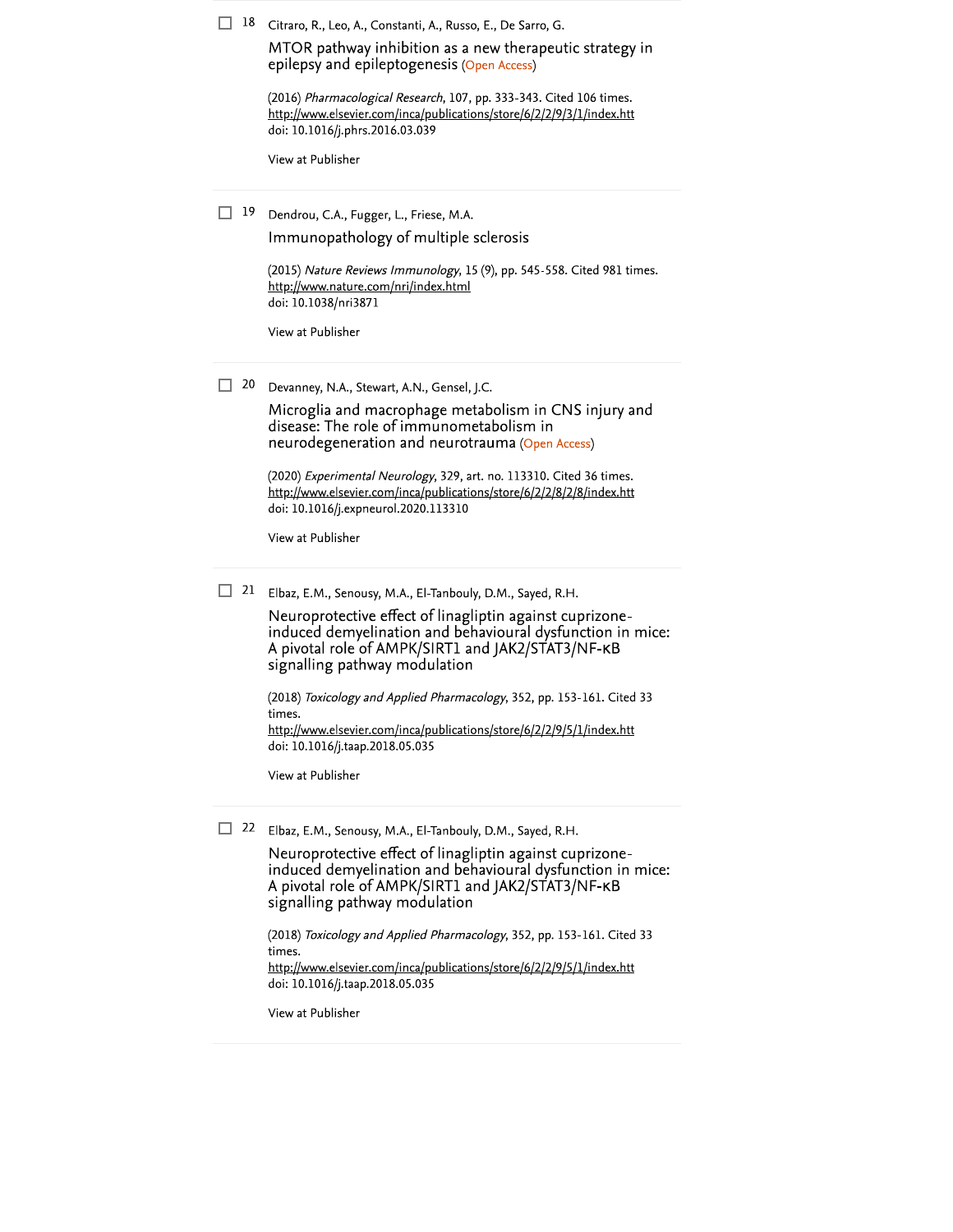|  |  |  |  |  | $\Box$ 18 Citraro, R., Leo, A., Constanti, A., Russo, E., De Sarro, G. |  |  |  |  |
|--|--|--|--|--|------------------------------------------------------------------------|--|--|--|--|
|--|--|--|--|--|------------------------------------------------------------------------|--|--|--|--|

MTOR pathway inhibition as a new therapeutic strategy in epilepsy and epileptogenesis (Open Access)

(2016) Pharmacological Research, 107, pp. 333-343. Cited 106 times. http://www.elsevier.com/inca/publications/store/6/2/2/9/3/1/index.htt doi: 10.1016/j.phrs.2016.03.039

View at Publisher

19 Dendrou, C.A., Fugger, L., Friese, M.A. Immunopathology of multiple sclerosis

(2015) Nature Reviews Immunology, 15 (9), pp. 545-558. Cited 981 times.

http://www.nature.com/nri/index.html doi: 10.1038/nri3871

View at Publisher

 $\Box$  20 Devanney, N.A., Stewart, A.N., Gensel, J.C.

> Microglia and macrophage metabolism in CNS injury and disease: The role of immunometabolism in neurodegeneration and neurotrauma (Open Access)

(2020) Experimental Neurology, 329, art. no. 113310. Cited 36 times. http://www.elsevier.com/inca/publications/store/6/2/2/8/2/8/index.htt doi: 10.1016/j.expneurol.2020.113310

View at Publisher

 $\Box$  21 Elbaz, E.M., Senousy, M.A., El-Tanbouly, D.M., Sayed, R.H.

Neuroprotective effect of linagliptin against cuprizoneinduced demyelination and behavioural dysfunction in mice: A pivotal role of AMPK/SIRT1 and JAK2/STAT3/NF-KB signalling pathway modulation

(2018) Toxicology and Applied Pharmacology, 352, pp. 153-161. Cited 33 times.

http://www.elsevier.com/inca/publications/store/6/2/2/9/5/1/index.htt doi: 10.1016/j.taap.2018.05.035

View at Publisher

22 Elbaz, E.M., Senousy, M.A., El-Tanbouly, D.M., Sayed, R.H.

Neuroprotective effect of linagliptin against cuprizoneinduced demyelination and behavioural dysfunction in mice: A pivotal role of AMPK/SIRT1 and JAK2/STAT3/NF-KB signalling pathway modulation

(2018) Toxicology and Applied Pharmacology, 352, pp. 153-161. Cited 33 times. http://www.elsevier.com/inca/publications/store/6/2/2/9/5/1/index.htt doi: 10.1016/j.taap.2018.05.035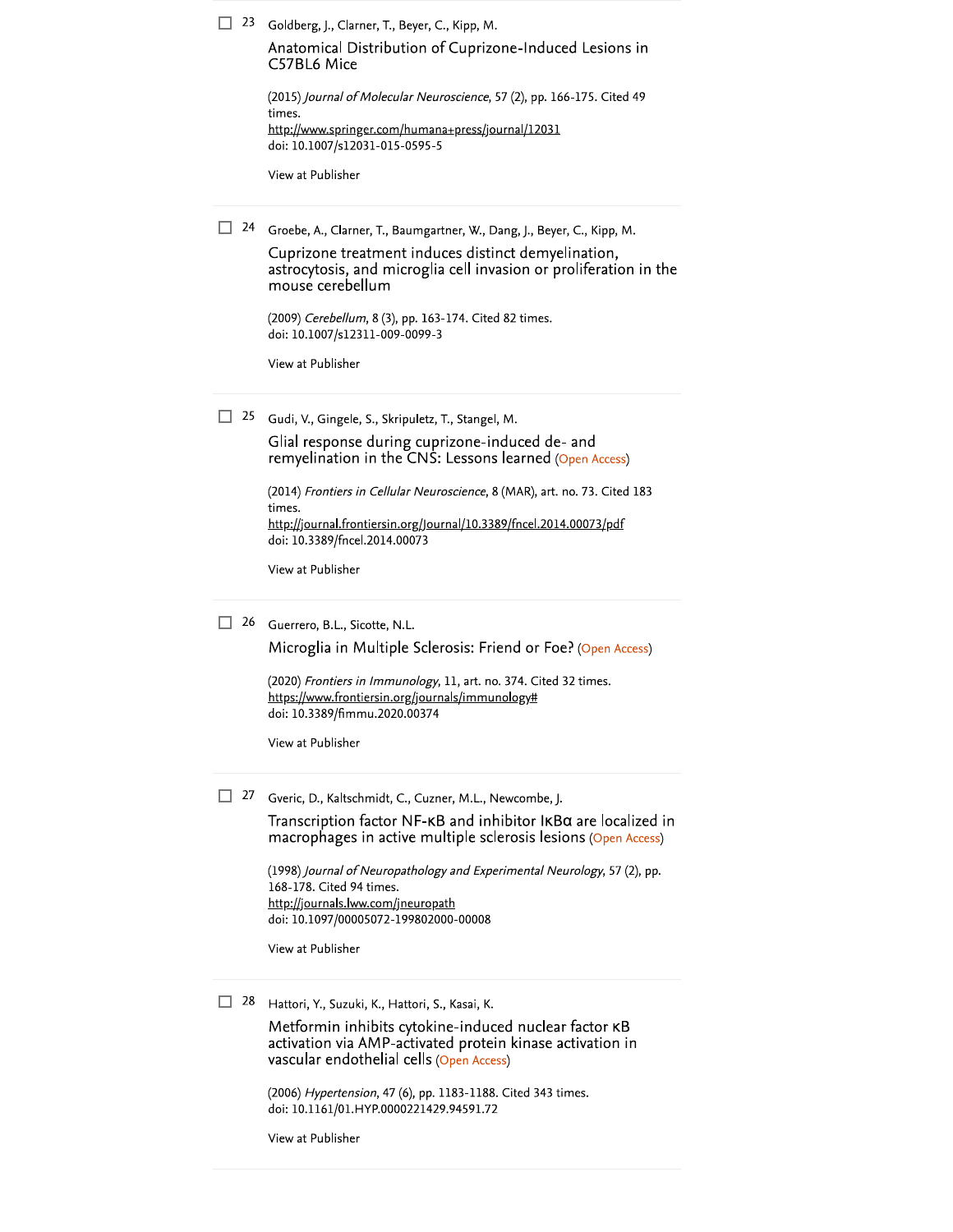|  |  | $\Box$ 23 Goldberg, J., Clarner, T., Beyer, C., Kipp, M. |  |  |  |  |
|--|--|----------------------------------------------------------|--|--|--|--|
|--|--|----------------------------------------------------------|--|--|--|--|

Anatomical Distribution of Cuprizone-Induced Lesions in C57BL6 Mice

| (2015) Journal of Molecular Neuroscience, 57 (2), pp. 166-175. Cited 49 |
|-------------------------------------------------------------------------|
| times.                                                                  |
| http://www.springer.com/humana+press/journal/12031                      |
| doi: 10.1007/s12031-015-0595-5                                          |

View at Publisher

□ 24 Groebe, A., Clarner, T., Baumgartner, W., Dang, J., Beyer, C., Kipp, M.

Cuprizone treatment induces distinct demyelination, astrocytosis, and microglia cell invasion or proliferation in the mouse cerebellum

(2009) Cerebellum, 8 (3), pp. 163-174. Cited 82 times. doi: 10.1007/s12311-009-0099-3

View at Publisher

<sup>25</sup> Gudi, V., Gingele, S., Skripuletz, T., Stangel, M.

Glial response during cuprizone-induced de- and remyelination in the CNS: Lessons learned (Open Access)

(2014) Frontiers in Cellular Neuroscience, 8 (MAR), art. no. 73. Cited 183 times. http://journal.frontiersin.org/Journal/10.3389/fncel.2014.00073/pdf doi: 10.3389/fncel.2014.00073

View at Publisher

26 Guerrero, B.L., Sicotte, N.L.

Microglia in Multiple Sclerosis: Friend or Foe? (Open Access)

(2020) Frontiers in Immunology, 11, art. no. 374. Cited 32 times. https://www.frontiersin.org/journals/immunology# doi: 10.3389/fimmu.2020.00374

View at Publisher

27 Gveric, D., Kaltschmidt, C., Cuzner, M.L., Newcombe, J.

Transcription factor NF-KB and inhibitor IKBa are localized in macrophages in active multiple sclerosis lesions (Open Access)

(1998) Journal of Neuropathology and Experimental Neurology, 57 (2), pp. 168-178. Cited 94 times. http://journals.lww.com/jneuropath doi: 10.1097/00005072-199802000-00008

View at Publisher

28 Hattori, Y., Suzuki, K., Hattori, S., Kasai, K.

Metformin inhibits cytokine-induced nuclear factor KB activation via AMP-activated protein kinase activation in vascular endothelial cells (Open Access)

(2006) Hypertension, 47 (6), pp. 1183-1188. Cited 343 times. doi: 10.1161/01.HYP.0000221429.94591.72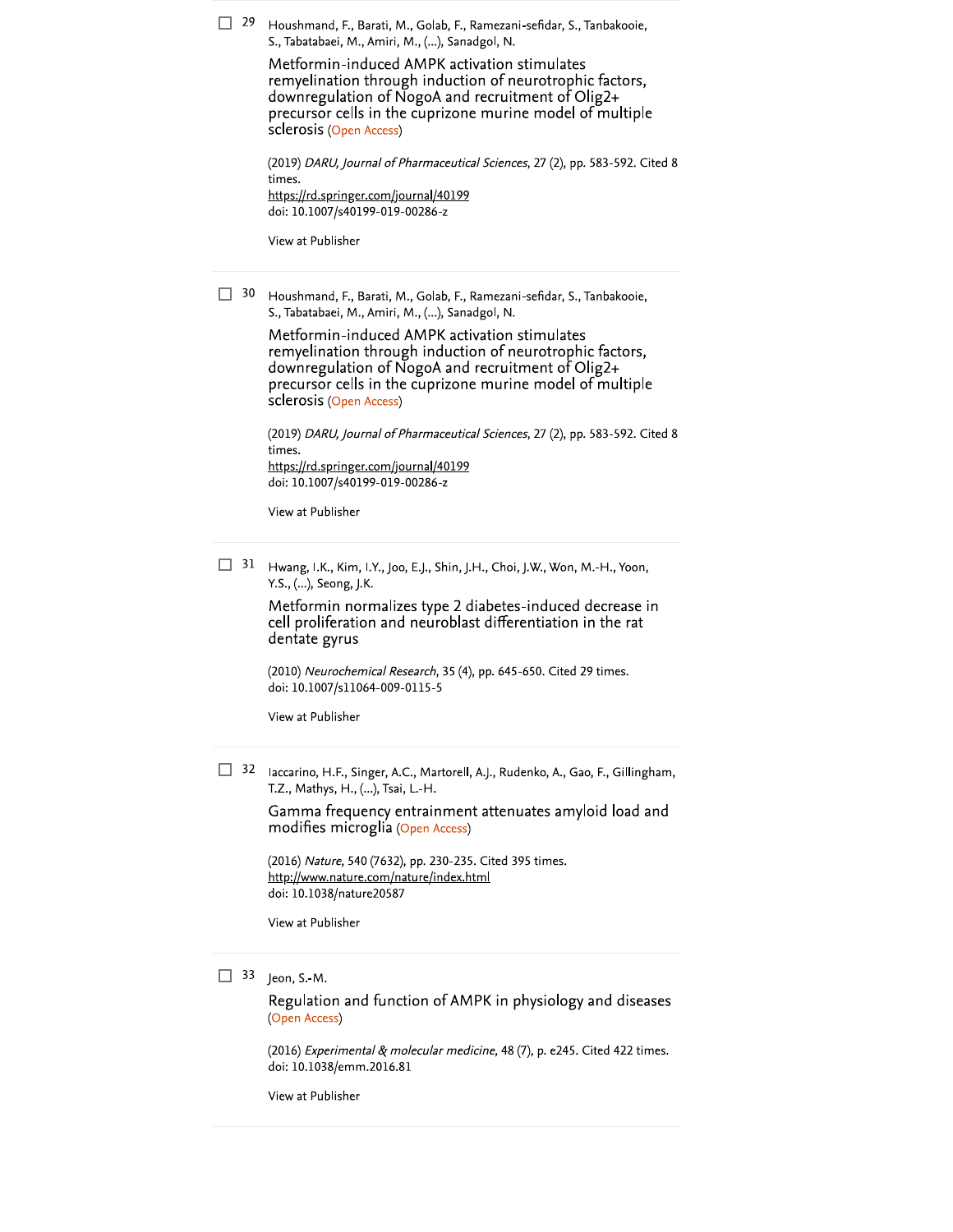$\Box$  29 Houshmand, F., Barati, M., Golab, F., Ramezani-sefidar, S., Tanbakooie, S., Tabatabaei, M., Amiri, M., (...), Sanadgol, N.

> Metformin-induced AMPK activation stimulates remyelination through induction of neurotrophic factors, downregulation of NogoA and recruitment of Olig2+ precursor cells in the cuprizone murine model of multiple sclerosis (Open Access)

(2019) DARU, Journal of Pharmaceutical Sciences, 27 (2), pp. 583-592. Cited 8 times. https://rd.springer.com/journal/40199 doi: 10.1007/s40199-019-00286-z

View at Publisher

 $\Box$  30 Houshmand, F., Barati, M., Golab, F., Ramezani-sefidar, S., Tanbakooie, S., Tabatabaei, M., Amiri, M., (...), Sanadgol, N.

> Metformin-induced AMPK activation stimulates remyelination through induction of neurotrophic factors, downregulation of NogoA and recruitment of Olig2+ precursor cells in the cuprizone murine model of multiple sclerosis (Open Access)

(2019) DARU, Journal of Pharmaceutical Sciences, 27 (2), pp. 583-592. Cited 8 times. https://rd.springer.com/journal/40199 doi: 10.1007/s40199-019-00286-z

View at Publisher

 $\Box$  31 Hwang, I.K., Kim, I.Y., Joo, E.J., Shin, J.H., Choi, J.W., Won, M.-H., Yoon, Y.S., (...), Seong, J.K.

> Metformin normalizes type 2 diabetes-induced decrease in cell proliferation and neuroblast differentiation in the rat dentate gyrus

(2010) Neurochemical Research, 35 (4), pp. 645-650. Cited 29 times. doi: 10.1007/s11064-009-0115-5

View at Publisher

32 Iaccarino, H.F., Singer, A.C., Martorell, A.J., Rudenko, A., Gao, F., Gillingham, T.Z., Mathys, H., (...), Tsai, L.-H.

> Gamma frequency entrainment attenuates amyloid load and modifies microglia (Open Access)

(2016) Nature, 540 (7632), pp. 230-235. Cited 395 times. http://www.nature.com/nature/index.html doi: 10.1038/nature20587

View at Publisher

### $\Box$  33 Jeon, S.-M.

Regulation and function of AMPK in physiology and diseases (Open Access)

(2016) Experimental & molecular medicine, 48 (7), p. e245. Cited 422 times. doi: 10.1038/emm.2016.81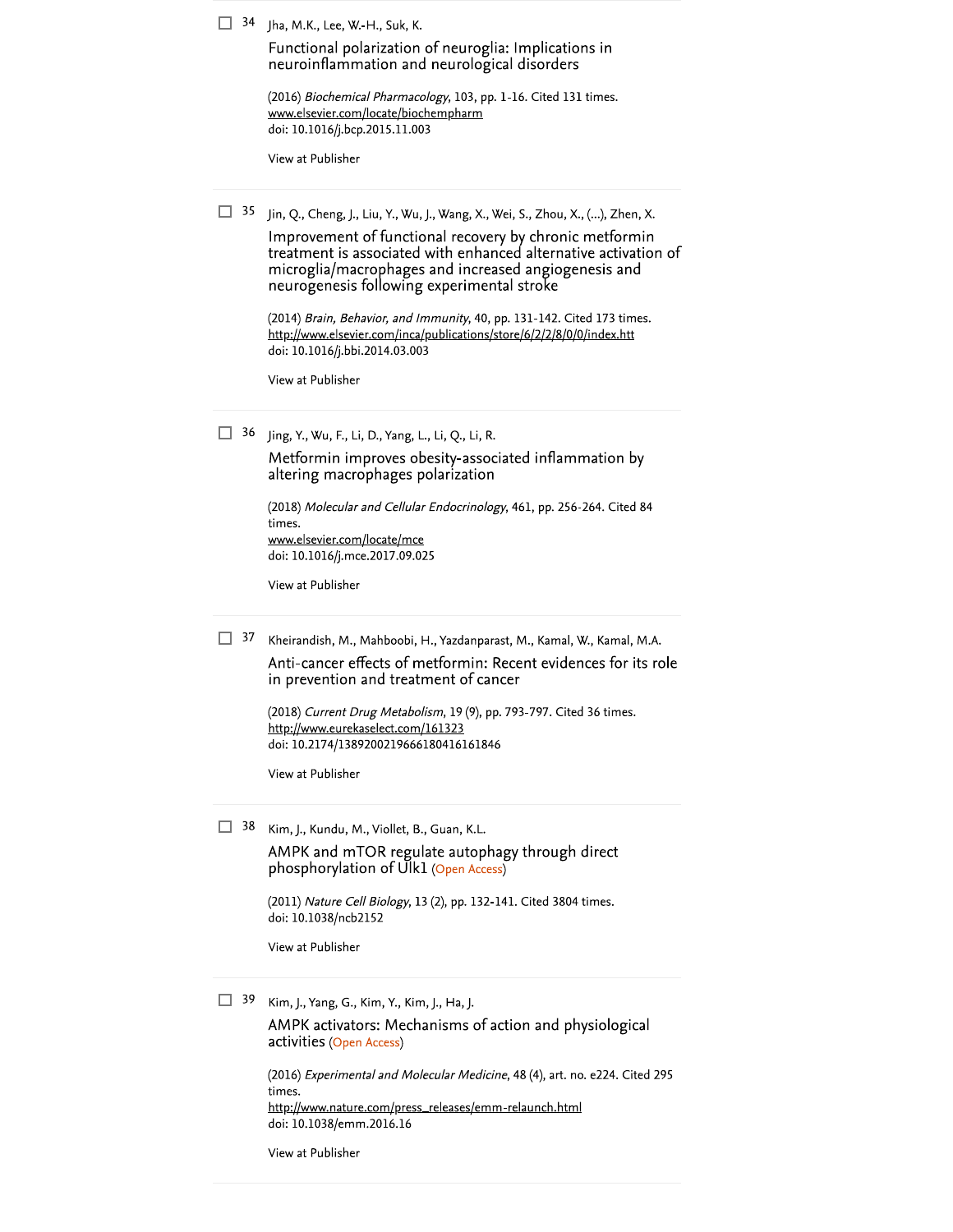$\Box$  34 Jha, M.K., Lee, W.-H., Suk, K.

Functional polarization of neuroglia: Implications in neuroinflammation and neurological disorders

(2016) Biochemical Pharmacology, 103, pp. 1-16. Cited 131 times. www.elsevier.com/locate/biochempharm doi: 10.1016/j.bcp.2015.11.003

View at Publisher

 $\Box$  35 Jin, Q., Cheng, J., Liu, Y., Wu, J., Wang, X., Wei, S., Zhou, X., (...), Zhen, X.

Improvement of functional recovery by chronic metformin treatment is associated with enhanced alternative activation of microglia/macrophages and increased angiogenesis and neurogenesis following experimental stroke

(2014) Brain, Behavior, and Immunity, 40, pp. 131-142. Cited 173 times. http://www.elsevier.com/inca/publications/store/6/2/2/8/0/0/index.htt doi: 10.1016/j.bbi.2014.03.003

View at Publisher

 $\Box$  36 Jing, Y., Wu, F., Li, D., Yang, L., Li, Q., Li, R.

Metformin improves obesity-associated inflammation by altering macrophages polarization

(2018) Molecular and Cellular Endocrinology, 461, pp. 256-264. Cited 84 times. www.elsevier.com/locate/mce doi: 10.1016/j.mce.2017.09.025

View at Publisher

 $\Box$  37 Kheirandish, M., Mahboobi, H., Yazdanparast, M., Kamal, W., Kamal, M.A.

Anti-cancer effects of metformin: Recent evidences for its role in prevention and treatment of cancer

(2018) Current Drug Metabolism, 19 (9), pp. 793-797. Cited 36 times. http://www.eurekaselect.com/161323 doi: 10.2174/1389200219666180416161846

View at Publisher

 $\Box$  38 Kim, J., Kundu, M., Viollet, B., Guan, K.L.

AMPK and mTOR regulate autophagy through direct phosphorylation of Ulk1 (Open Access)

(2011) Nature Cell Biology, 13 (2), pp. 132-141. Cited 3804 times. doi: 10.1038/ncb2152

View at Publisher

 $\Box$  39 Kim, J., Yang, G., Kim, Y., Kim, J., Ha, J.

AMPK activators: Mechanisms of action and physiological activities (Open Access)

(2016) Experimental and Molecular Medicine, 48 (4), art. no. e224. Cited 295 times. http://www.nature.com/press\_releases/emm-relaunch.html doi: 10.1038/emm.2016.16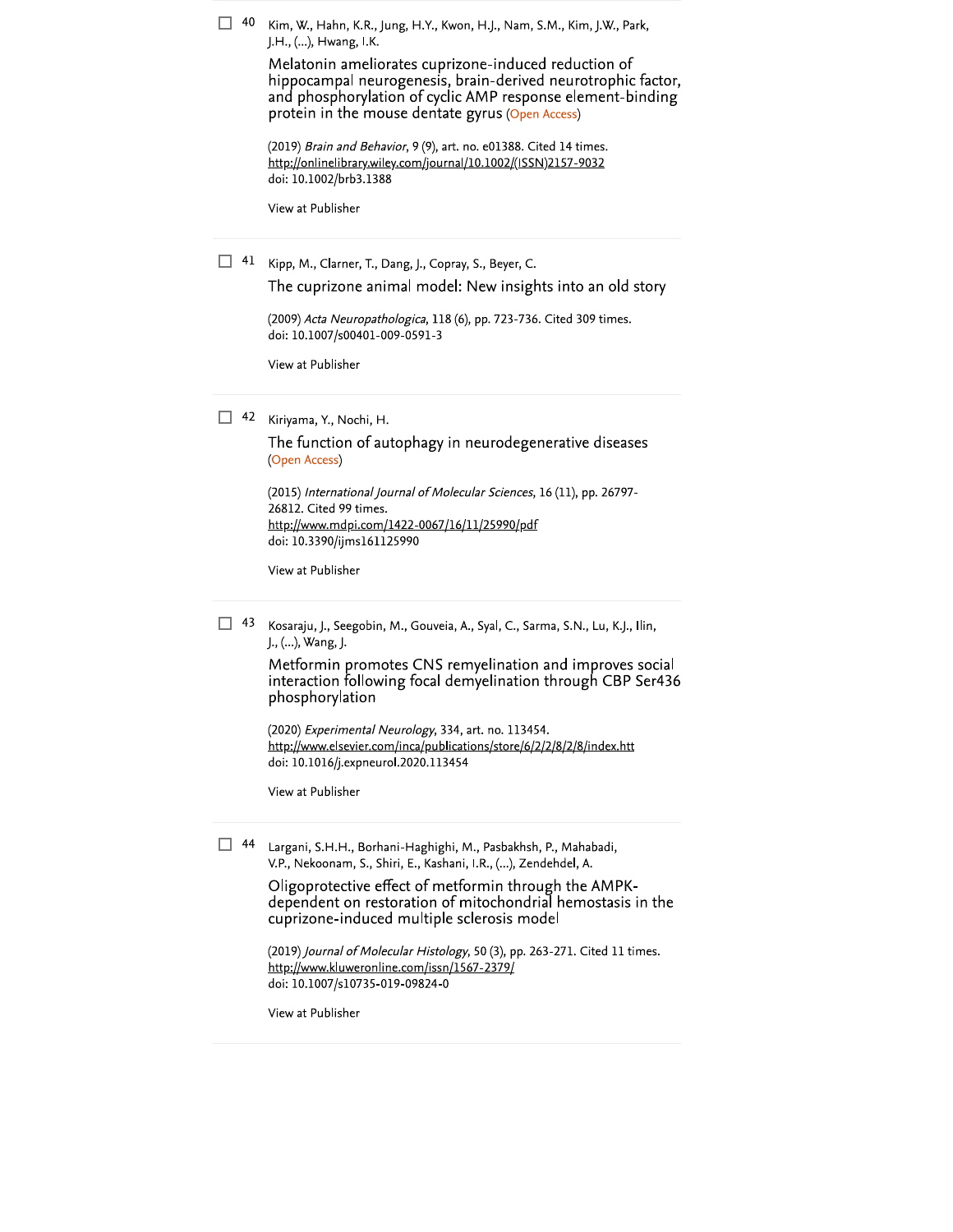| 40 | Kim, W., Hahn, K.R., Jung, H.Y., Kwon, H.J., Nam, S.M., Kim, J.W., Park,<br>J.H., (), Hwang, I.K.<br>Melatonin ameliorates cuprizone-induced reduction of<br>hippocampal neurogenesis, brain-derived neurotrophic factor,<br>and phosphorylation of cyclic AMP response element-binding<br>protein in the mouse dentate gyrus (Open Access)<br>(2019) Brain and Behavior, 9 (9), art. no. e01388. Cited 14 times.<br>http://onlinelibrary.wiley.com/journal/10.1002/(ISSN)2157-9032<br>doi: 10.1002/brb3.1388<br>View at Publisher |
|----|------------------------------------------------------------------------------------------------------------------------------------------------------------------------------------------------------------------------------------------------------------------------------------------------------------------------------------------------------------------------------------------------------------------------------------------------------------------------------------------------------------------------------------|
| 41 | Kipp, M., Clarner, T., Dang, J., Copray, S., Beyer, C.<br>The cuprizone animal model: New insights into an old story<br>(2009) Acta Neuropathologica, 118 (6), pp. 723-736. Cited 309 times.<br>doi: 10.1007/s00401-009-0591-3<br>View at Publisher                                                                                                                                                                                                                                                                                |
| 42 | Kiriyama, Y., Nochi, H.<br>The function of autophagy in neurodegenerative diseases<br>(Open Access)<br>(2015) International Journal of Molecular Sciences, 16 (11), pp. 26797-<br>26812. Cited 99 times.<br>http://www.mdpi.com/1422-0067/16/11/25990/pdf<br>doi: 10.3390/ijms161125990<br>View at Publisher                                                                                                                                                                                                                       |
| 43 | Kosaraju, J., Seegobin, M., Gouveia, A., Syal, C., Sarma, S.N., Lu, K.J., Ilin,<br>J., (), Wang, J.<br>Metformin promotes CNS remyelination and improves social<br>interaction following focal demyelination through CBP Ser436<br>phosphorylation<br>(2020) Experimental Neurology, 334, art. no. 113454.<br>http://www.elsevier.com/inca/publications/store/6/2/2/8/2/8/index.htt<br>doi: 10.1016/j.expneurol.2020.113454<br>View at Publisher                                                                                   |
| 44 | Largani, S.H.H., Borhani-Haghighi, M., Pasbakhsh, P., Mahabadi,<br>V.P., Nekoonam, S., Shiri, E., Kashani, I.R., (), Zendehdel, A.<br>Oligoprotective effect of metformin through the AMPK-<br>dependent on restoration of mitochondrial hemostasis in the<br>cuprizone-induced multiple sclerosis model<br>(2019) Journal of Molecular Histology, 50 (3), pp. 263-271. Cited 11 times.<br>http://www.kluweronline.com/issn/1567-2379/<br>doi: 10.1007/s10735-019-09824-0<br>View at Publisher                                     |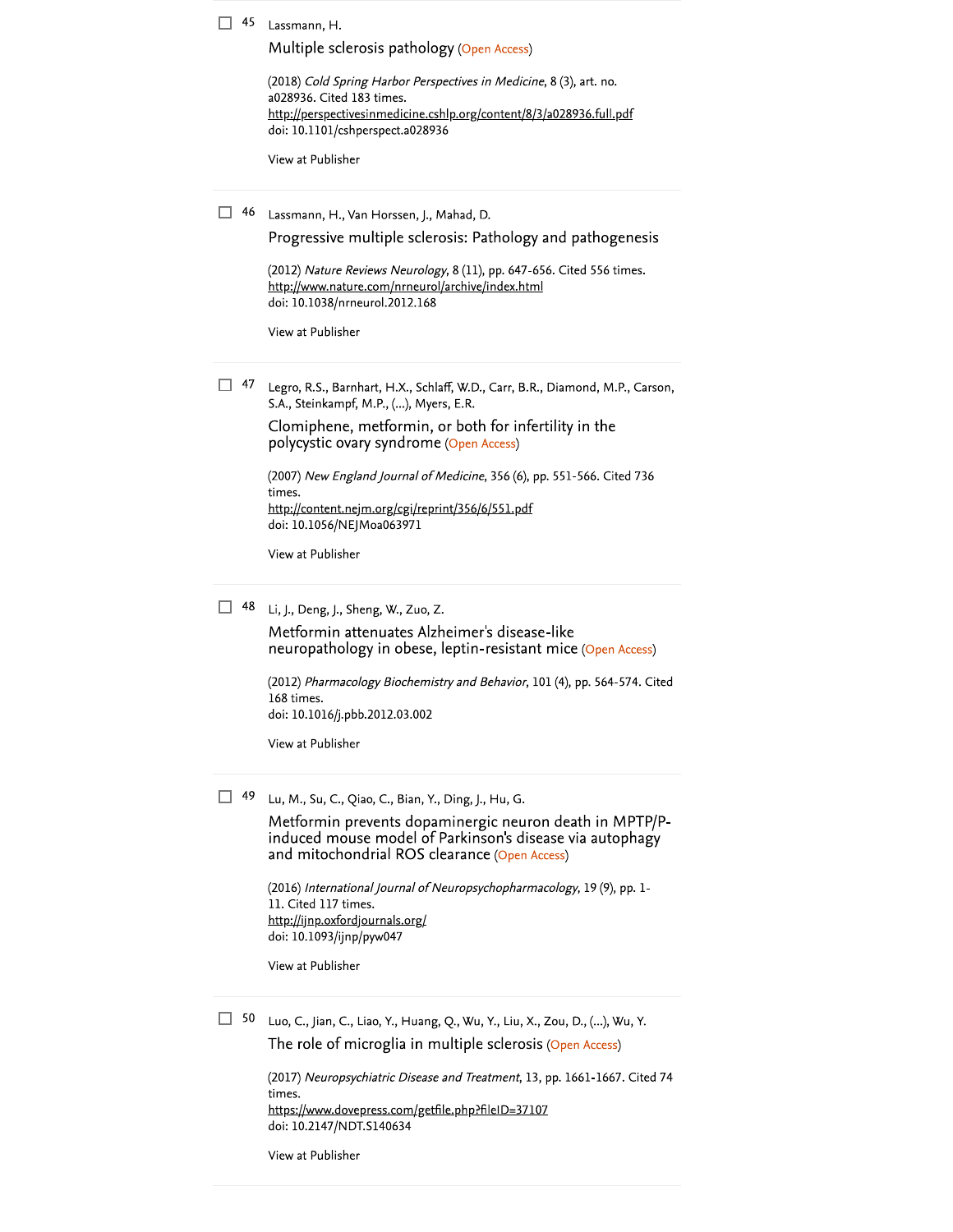| 45 | Lassmann, H.                                                                                                                                                             |
|----|--------------------------------------------------------------------------------------------------------------------------------------------------------------------------|
|    | Multiple sclerosis pathology (Open Access)                                                                                                                               |
|    | (2018) Cold Spring Harbor Perspectives in Medicine, 8 (3), art. no.<br>a028936. Cited 183 times.<br>http://perspectivesinmedicine.cshlp.org/content/8/3/a028936.full.pdf |
|    | doi: 10.1101/cshperspect.a028936                                                                                                                                         |
|    | View at Publisher                                                                                                                                                        |
| 46 | Lassmann, H., Van Horssen, J., Mahad, D.                                                                                                                                 |
|    | Progressive multiple sclerosis: Pathology and pathogenesis                                                                                                               |
|    | (2012) Nature Reviews Neurology, 8 (11), pp. 647-656. Cited 556 times.<br>http://www.nature.com/nrneurol/archive/index.html<br>doi: 10.1038/nrneurol.2012.168            |
|    | View at Publisher                                                                                                                                                        |
| 47 | Legro, R.S., Barnhart, H.X., Schlaff, W.D., Carr, B.R., Diamond, M.P., Carson,<br>S.A., Steinkampf, M.P., (), Myers, E.R.                                                |
|    | Clomiphene, metformin, or both for infertility in the<br>polycystic ovary syndrome (Open Access)                                                                         |
|    | (2007) New England Journal of Medicine, 356 (6), pp. 551-566. Cited 736<br>times.                                                                                        |
|    | http://content.nejm.org/cgi/reprint/356/6/551.pdf<br>doi: 10.1056/NEJMoa063971                                                                                           |
|    | View at Publisher                                                                                                                                                        |
| 48 | Li, J., Deng, J., Sheng, W., Zuo, Z.                                                                                                                                     |
|    | Metformin attenuates Alzheimer's disease-like<br>neuropathology in obese, leptin-resistant mice (Open Access)                                                            |
|    | (2012) Pharmacology Biochemistry and Behavior, 101 (4), pp. 564-574. Cited                                                                                               |
|    | 168 times.<br>doi: 10.1016/j.pbb.2012.03.002                                                                                                                             |
|    | View at Publisher                                                                                                                                                        |
| 49 | Lu, M., Su, C., Qiao, C., Bian, Y., Ding, J., Hu, G.                                                                                                                     |
|    | Metformin prevents dopaminergic neuron death in MPTP/P-<br>induced mouse model of Parkinson's disease via autophagy<br>and mitochondrial ROS clearance (Open Access)     |
|    | (2016) International Journal of Neuropsychopharmacology, 19 (9), pp. 1-<br>11. Cited 117 times.<br>http://ijnp.oxfordjournals.org/                                       |
|    | doi: 10.1093/ijnp/pyw047                                                                                                                                                 |
|    | View at Publisher                                                                                                                                                        |
| 50 | Luo, C., Jian, C., Liao, Y., Huang, Q., Wu, Y., Liu, X., Zou, D., (), Wu, Y.                                                                                             |
|    | The role of microglia in multiple sclerosis (Open Access)                                                                                                                |
|    | (2017) Neuropsychiatric Disease and Treatment, 13, pp. 1661-1667. Cited 74                                                                                               |
|    | times.<br>https://www.dovepress.com/getfile.php?fileID=37107<br>doi: 10.2147/NDT.S140634                                                                                 |
|    | View at Publisher                                                                                                                                                        |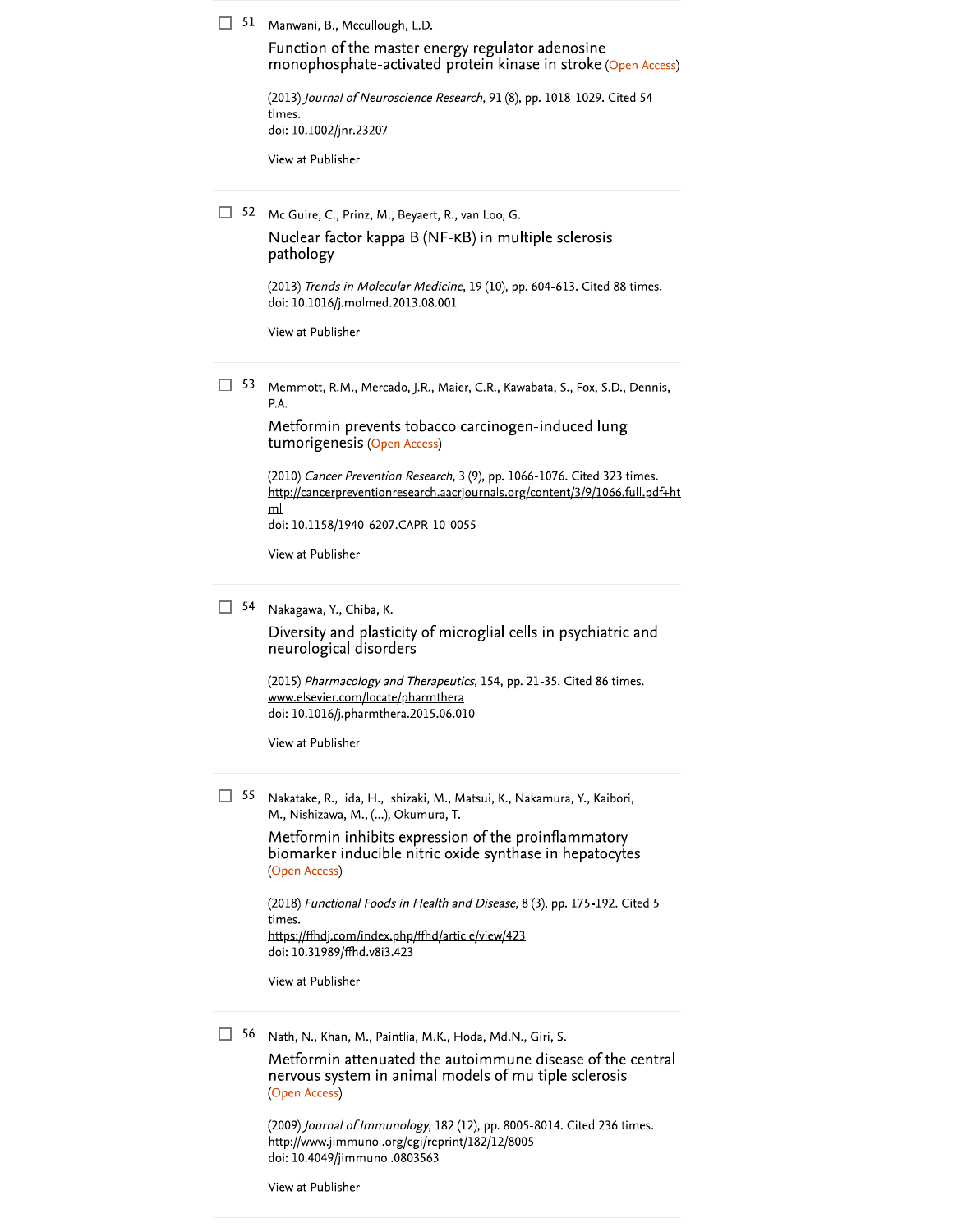51 Manwani, B., Mccullough, L.D.

Function of the master energy regulator adenosine monophosphate-activated protein kinase in stroke (Open Access)

(2013) Journal of Neuroscience Research, 91 (8), pp. 1018-1029. Cited 54 times. doi: 10.1002/jnr.23207

View at Publisher

52 Mc Guire, C., Prinz, M., Beyaert, R., van Loo, G. Nuclear factor kappa B (NF-KB) in multiple sclerosis pathology (2013) Trends in Molecular Medicine, 19 (10), pp. 604-613. Cited 88 times. doi: 10.1016/j.molmed.2013.08.001 View at Publisher  $\Box$  53 Memmott, R.M., Mercado, J.R., Maier, C.R., Kawabata, S., Fox, S.D., Dennis, P.A. Metformin prevents tobacco carcinogen-induced lung tumorigenesis (Open Access) (2010) Cancer Prevention Research, 3 (9), pp. 1066-1076. Cited 323 times. http://cancerpreventionresearch.aacrjournals.org/content/3/9/1066.full.pdf+ht  $m$ doi: 10.1158/1940-6207.CAPR-10-0055 View at Publisher  $\Box$  54 Nakagawa, Y., Chiba, K. Diversity and plasticity of microglial cells in psychiatric and neurological disorders (2015) Pharmacology and Therapeutics, 154, pp. 21-35. Cited 86 times. www.elsevier.com/locate/pharmthera doi: 10.1016/j.pharmthera.2015.06.010 View at Publisher  $\Box$  55 Nakatake, R., Iida, H., Ishizaki, M., Matsui, K., Nakamura, Y., Kaibori, M., Nishizawa, M., (...), Okumura, T. Metformin inhibits expression of the proinflammatory biomarker inducible nitric oxide synthase in hepatocytes (Open Access) (2018) Functional Foods in Health and Disease, 8 (3), pp. 175-192. Cited 5 times. https://ffhdj.com/index.php/ffhd/article/view/423 doi: 10.31989/ffhd.v8i3.423 View at Publisher  $\Box$  56 Nath, N., Khan, M., Paintlia, M.K., Hoda, Md.N., Giri, S. Metformin attenuated the autoimmune disease of the central nervous system in animal models of multiple sclerosis (Open Access)

> (2009) Journal of Immunology, 182 (12), pp. 8005-8014. Cited 236 times. http://www.jimmunol.org/cgi/reprint/182/12/8005 doi: 10.4049/jimmunol.0803563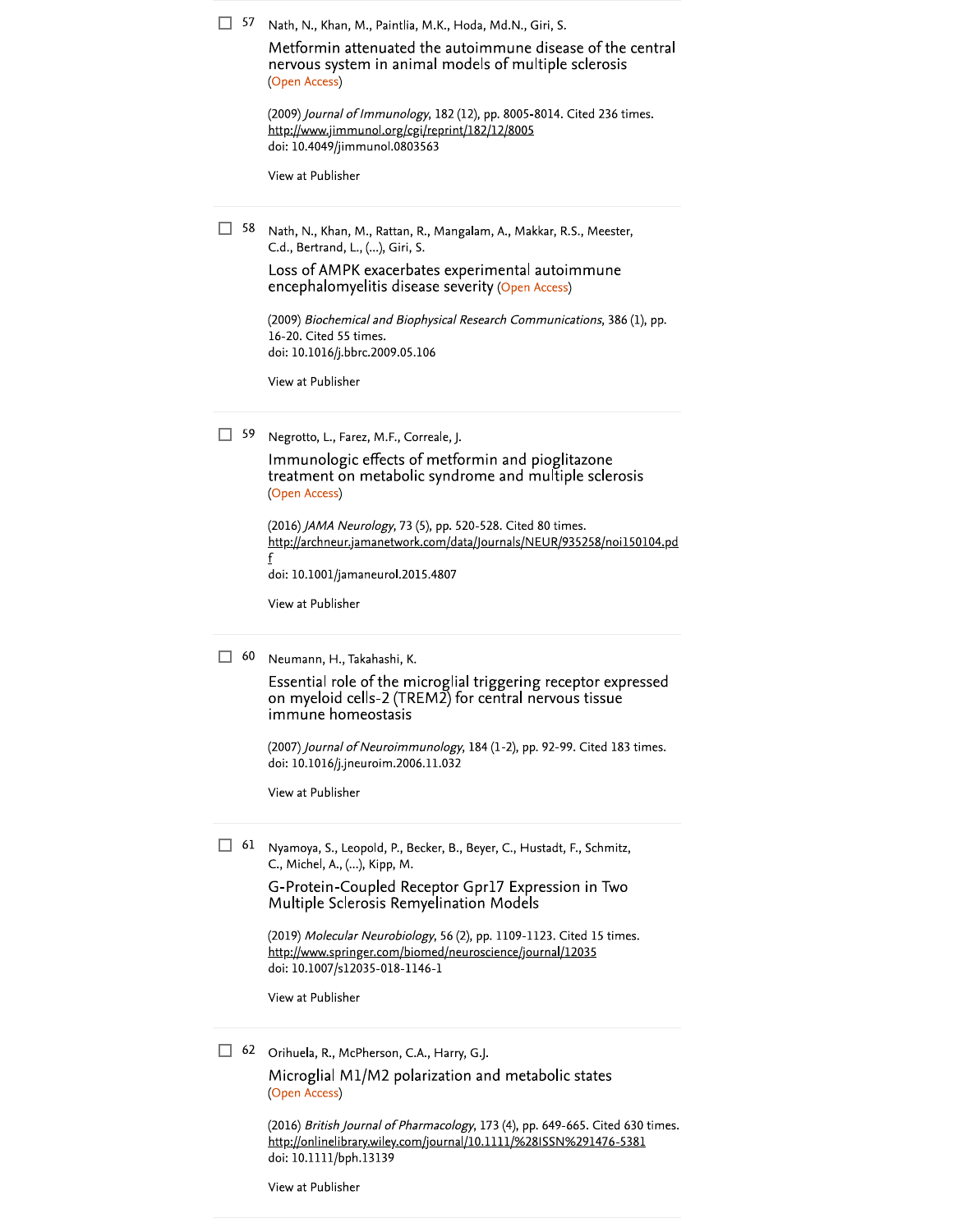| 57 | Nath, N., Khan, M., Paintlia, M.K., Hoda, Md.N., Giri, S.<br>Metformin attenuated the autoimmune disease of the central<br>nervous system in animal models of multiple sclerosis<br>(Open Access)<br>(2009) Journal of Immunology, 182 (12), pp. 8005-8014. Cited 236 times.<br>http://www.jimmunol.org/cgi/reprint/182/12/8005<br>doi: 10.4049/jimmunol.0803563<br>View at Publisher                |
|----|------------------------------------------------------------------------------------------------------------------------------------------------------------------------------------------------------------------------------------------------------------------------------------------------------------------------------------------------------------------------------------------------------|
| 58 | Nath, N., Khan, M., Rattan, R., Mangalam, A., Makkar, R.S., Meester,<br>C.d., Bertrand, L., (), Giri, S.<br>Loss of AMPK exacerbates experimental autoimmune<br>encephalomyelitis disease severity (Open Access)<br>(2009) Biochemical and Biophysical Research Communications, 386 (1), pp.<br>16-20. Cited 55 times.<br>doi: 10.1016/j.bbrc.2009.05.106<br>View at Publisher                       |
| 59 | Negrotto, L., Farez, M.F., Correale, J.<br>Immunologic effects of metformin and pioglitazone<br>treatment on metabolic syndrome and multiple sclerosis<br>(Open Access)<br>(2016) JAMA Neurology, 73 (5), pp. 520-528. Cited 80 times.<br>http://archneur.jamanetwork.com/data/Journals/NEUR/935258/noi150104.pd<br>doi: 10.1001/jamaneurol.2015.4807<br>View at Publisher                           |
| 60 | Neumann, H., Takahashi, K.<br>Essential role of the microglial triggering receptor expressed<br>on myeloid cells-2 (TREM2) for central nervous tissue<br>immune homeostasis<br>(2007) Journal of Neuroimmunology, 184 (1-2), pp. 92-99. Cited 183 times.<br>doi: 10.1016/j.jneuroim.2006.11.032<br>View at Publisher                                                                                 |
| 61 | Nyamoya, S., Leopold, P., Becker, B., Beyer, C., Hustadt, F., Schmitz,<br>C., Michel, A., (), Kipp, M.<br>G-Protein-Coupled Receptor Gpr17 Expression in Two<br>Multiple Sclerosis Remyelination Models<br>(2019) Molecular Neurobiology, 56 (2), pp. 1109-1123. Cited 15 times.<br>http://www.springer.com/biomed/neuroscience/journal/12035<br>doi: 10.1007/s12035-018-1146-1<br>View at Publisher |

 $\Box$  62 Orihuela, R., McPherson, C.A., Harry, G.J.

Microglial M1/M2 polarization and metabolic states (Open Access)

(2016) British Journal of Pharmacology, 173 (4), pp. 649-665. Cited 630 times.<br>http://onlinelibrary.wiley.com/journal/10.1111/%28ISSN%291476-5381<br>doi: 10.1111/bph.13139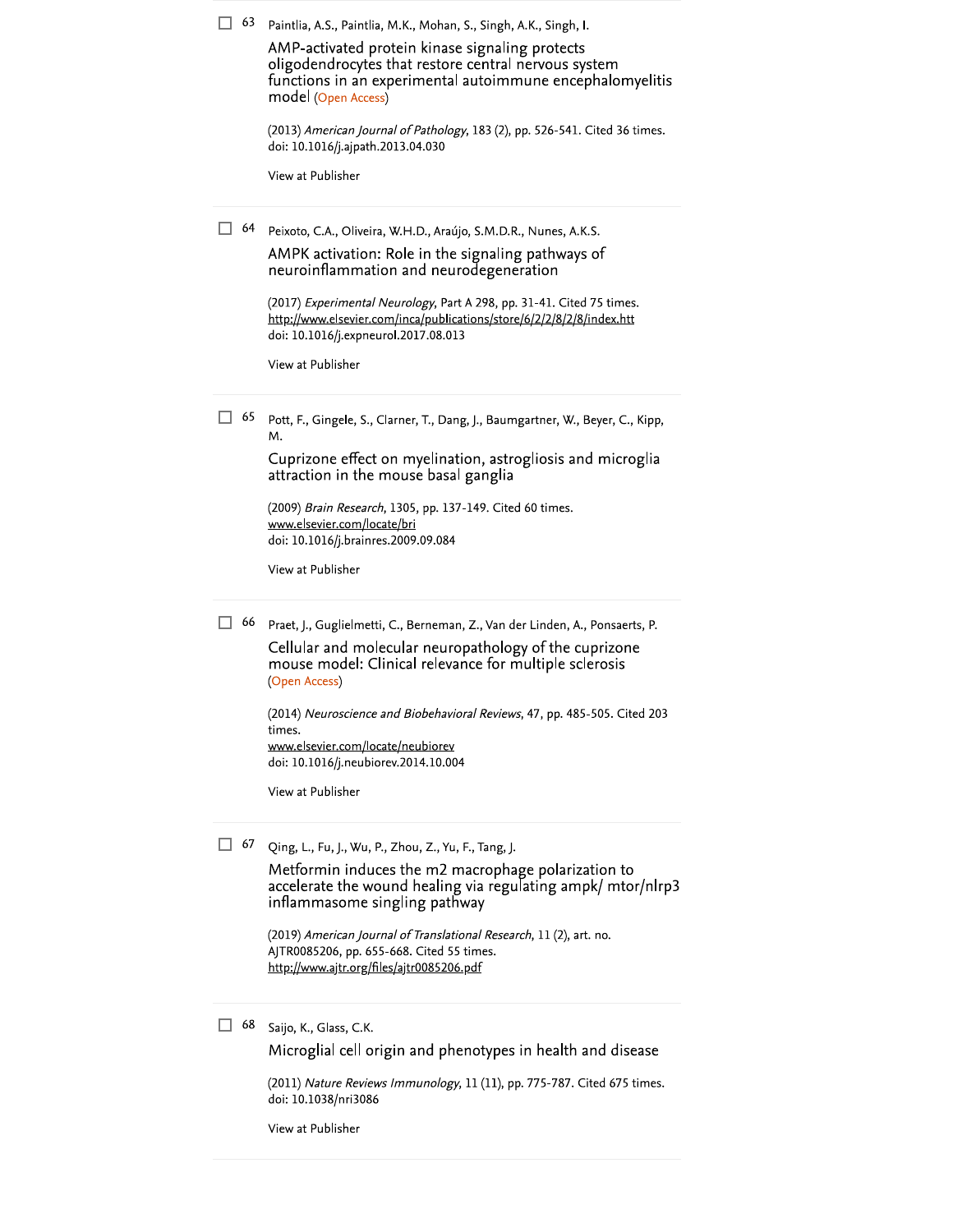| 63 | Paintlia, A.S., Paintlia, M.K., Mohan, S., Singh, A.K., Singh, I.<br>AMP-activated protein kinase signaling protects<br>oligodendrocytes that restore central nervous system<br>functions in an experimental autoimmune encephalomyelitis<br>model (Open Access)<br>(2013) American Journal of Pathology, 183 (2), pp. 526-541. Cited 36 times.<br>doi: 10.1016/j.ajpath.2013.04.030<br>View at Publisher  |
|----|------------------------------------------------------------------------------------------------------------------------------------------------------------------------------------------------------------------------------------------------------------------------------------------------------------------------------------------------------------------------------------------------------------|
| 64 | Peixoto, C.A., Oliveira, W.H.D., Araújo, S.M.D.R., Nunes, A.K.S.<br>AMPK activation: Role in the signaling pathways of<br>neuroinflammation and neurodegeneration<br>(2017) Experimental Neurology, Part A 298, pp. 31-41. Cited 75 times.<br>http://www.elsevier.com/inca/publications/store/6/2/2/8/2/8/index.htt<br>doi: 10.1016/j.expneurol.2017.08.013<br>View at Publisher                           |
| 65 | Pott, F., Gingele, S., Clarner, T., Dang, J., Baumgartner, W., Beyer, C., Kipp,<br>м.<br>Cuprizone effect on myelination, astrogliosis and microglia<br>attraction in the mouse basal ganglia<br>(2009) <i>Brain Research</i> , 1305, pp. 137-149. Cited 60 times.<br>www.elsevier.com/locate/bri<br>doi: 10.1016/j.brainres.2009.09.084<br>View at Publisher                                              |
| 66 | Praet, J., Guglielmetti, C., Berneman, Z., Van der Linden, A., Ponsaerts, P.<br>Cellular and molecular neuropathology of the cuprizone<br>mouse model: Clinical relevance for multiple sclerosis<br>(Open Access)<br>(2014) Neuroscience and Biobehavioral Reviews, 47, pp. 485-505. Cited 203<br>times.<br>www.elsevier.com/locate/neubiorev<br>doi: 10.1016/j.neubiorev.2014.10.004<br>View at Publisher |
| 67 | Qing, L., Fu, J., Wu, P., Zhou, Z., Yu, F., Tang, J.<br>Metformin induces the m2 macrophage polarization to<br>accelerate the wound healing via regulating ampk/ mtor/nlrp3<br>inflammasome singling pathway<br>(2019) American Journal of Translational Research, 11 (2), art. no.<br>AJTR0085206, pp. 655-668. Cited 55 times.<br>http://www.ajtr.org/files/ajtr0085206.pdf                              |

 $\Box$  68 Saijo, K., Glass, C.K.

Microglial cell origin and phenotypes in health and disease

(2011) Nature Reviews Immunology, 11 (11), pp. 775-787. Cited 675 times. doi: 10.1038/nri3086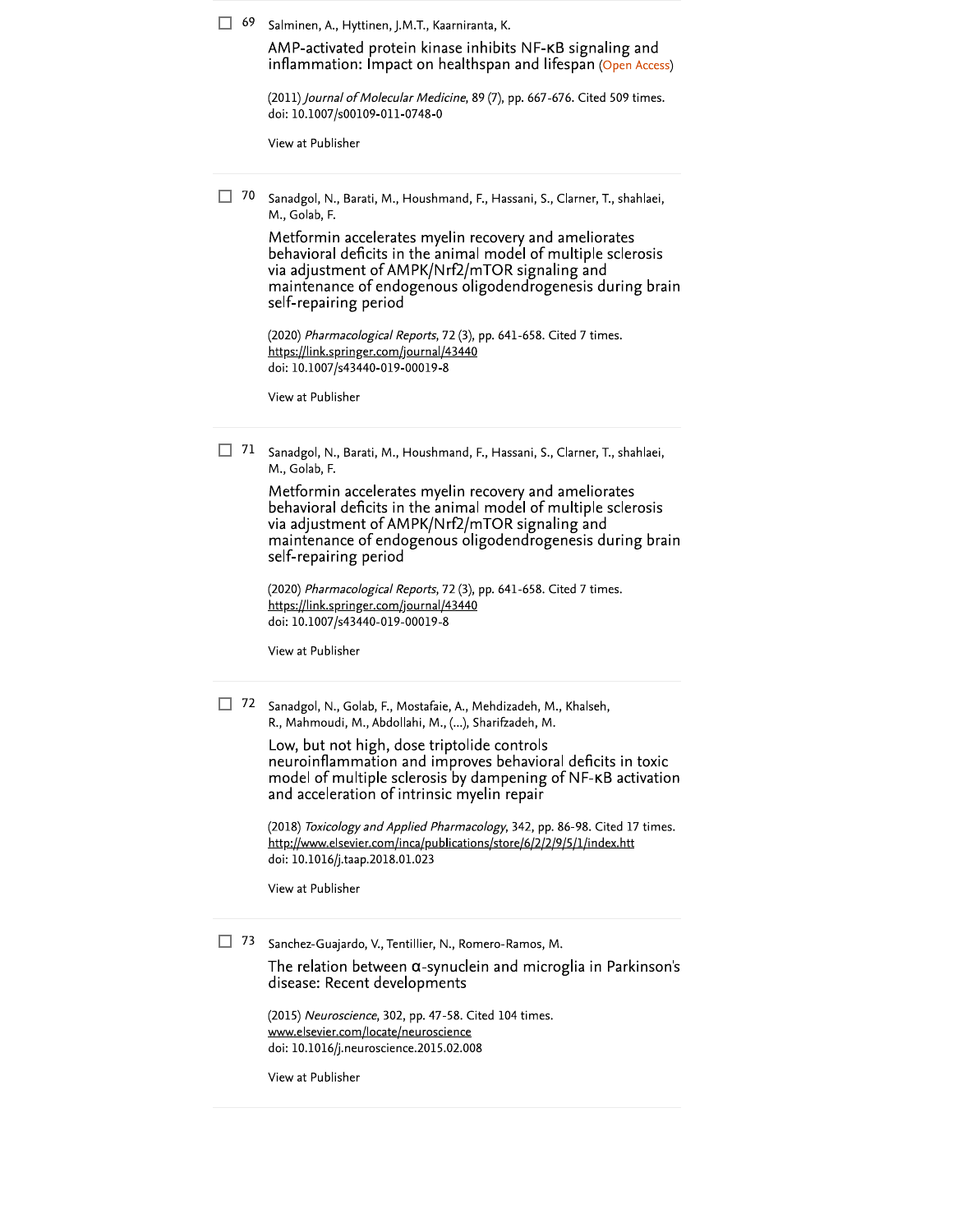$\Box$  69 Salminen, A., Hyttinen, J.M.T., Kaarniranta, K.

AMP-activated protein kinase inhibits NF-KB signaling and inflammation: Impact on healthspan and lifespan (Open Access)

(2011) Journal of Molecular Medicine, 89 (7), pp. 667-676. Cited 509 times. doi: 10.1007/s00109-011-0748-0

View at Publisher

 $\Box$  70 Sanadgol, N., Barati, M., Houshmand, F., Hassani, S., Clarner, T., shahlaei, M., Golab, F.

> Metformin accelerates myelin recovery and ameliorates behavioral deficits in the animal model of multiple sclerosis via adjustment of AMPK/Nrf2/mTOR signaling and maintenance of endogenous oligodendrogenesis during brain self-repairing period

(2020) Pharmacological Reports, 72 (3), pp. 641-658. Cited 7 times. https://link.springer.com/journal/43440 doi: 10.1007/s43440-019-00019-8

View at Publisher

 $\Box$  71 Sanadgol, N., Barati, M., Houshmand, F., Hassani, S., Clarner, T., shahlaei, M., Golab, F.

> Metformin accelerates myelin recovery and ameliorates behavioral deficits in the animal model of multiple sclerosis via adjustment of AMPK/Nrf2/mTOR signaling and maintenance of endogenous oligodendrogenesis during brain self-repairing period

(2020) Pharmacological Reports, 72 (3), pp. 641-658. Cited 7 times. https://link.springer.com/journal/43440 doi: 10.1007/s43440-019-00019-8

View at Publisher

72 Sanadgol, N., Golab, F., Mostafaie, A., Mehdizadeh, M., Khalseh, R., Mahmoudi, M., Abdollahi, M., (...), Sharifzadeh, M.

> Low, but not high, dose triptolide controls neuroinflammation and improves behavioral deficits in toxic model of multiple sclerosis by dampening of NF-KB activation and acceleration of intrinsic myelin repair

(2018) Toxicology and Applied Pharmacology, 342, pp. 86-98. Cited 17 times. http://www.elsevier.com/inca/publications/store/6/2/2/9/5/1/index.htt doi: 10.1016/j.taap.2018.01.023

View at Publisher

73 Sanchez-Guajardo, V., Tentillier, N., Romero-Ramos, M.

The relation between  $\alpha$ -synuclein and microglia in Parkinson's disease: Recent developments

(2015) Neuroscience, 302, pp. 47-58. Cited 104 times. www.elsevier.com/locate/neuroscience doi: 10.1016/j.neuroscience.2015.02.008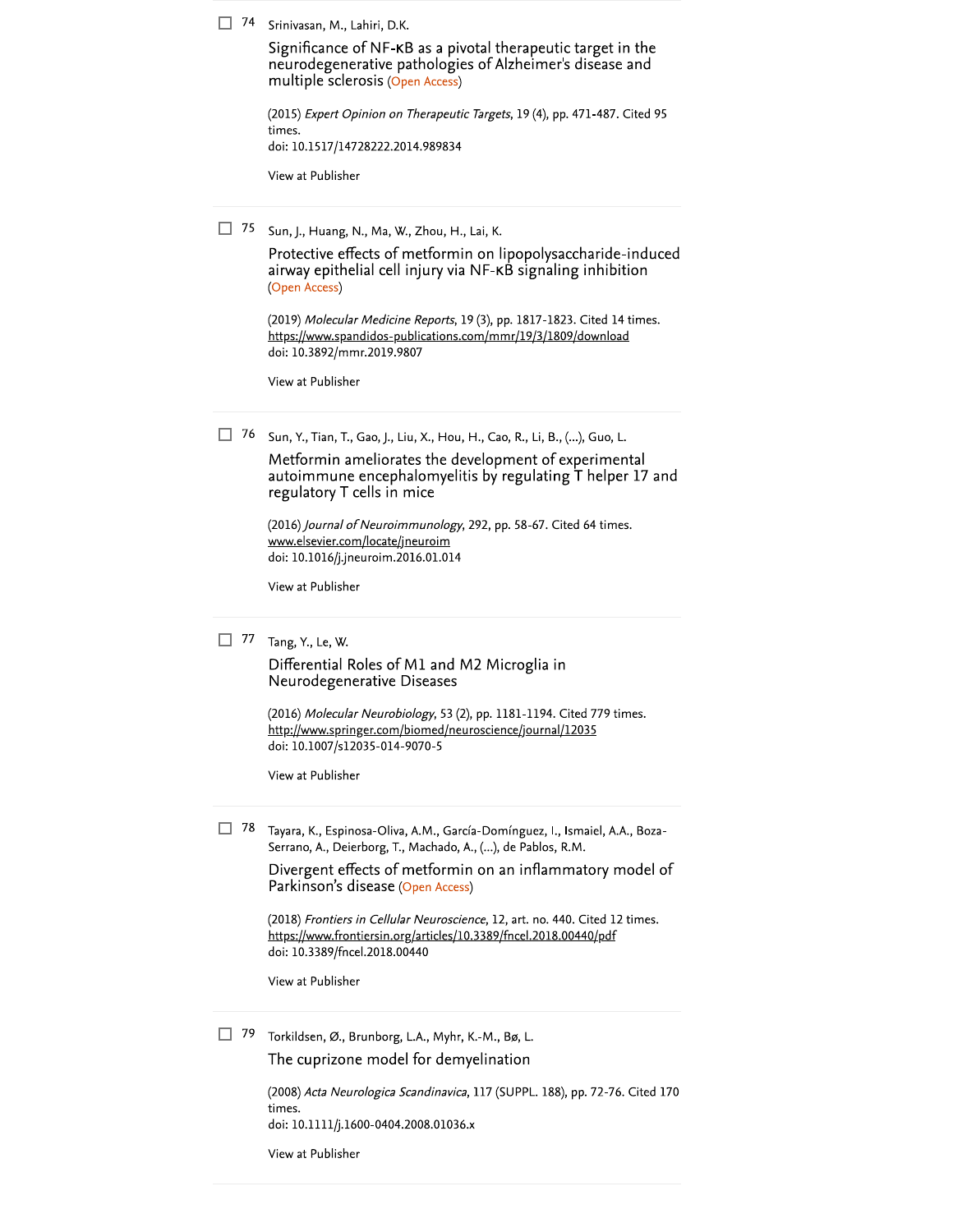74 Srinivasan, M., Lahiri, D.K.

Significance of NF-KB as a pivotal therapeutic target in the neurodegenerative pathologies of Alzheimer's disease and multiple sclerosis (Open Access)

| $(2015)$ Expert Opinion on Therapeutic Targets, 19 (4), pp. 471-487. Cited 95 |
|-------------------------------------------------------------------------------|
| times.                                                                        |
| doi: 10.1517/14728222.2014.989834                                             |
|                                                                               |

View at Publisher

 $\Box$  75 Sun, J., Huang, N., Ma, W., Zhou, H., Lai, K.

Protective effects of metformin on lipopolysaccharide-induced airway epithelial cell injury via NF-KB signaling inhibition (Open Access)

(2019) Molecular Medicine Reports, 19 (3), pp. 1817-1823. Cited 14 times. https://www.spandidos-publications.com/mmr/19/3/1809/download doi: 10.3892/mmr.2019.9807

View at Publisher

 $\Box$  76 Sun, Y., Tian, T., Gao, J., Liu, X., Hou, H., Cao, R., Li, B., (...), Guo, L.

Metformin ameliorates the development of experimental autoimmune encephalomyelitis by regulating T helper 17 and regulatory T cells in mice

(2016) Journal of Neuroimmunology, 292, pp. 58-67. Cited 64 times. www.elsevier.com/locate/jneuroim doi: 10.1016/j.jneuroim.2016.01.014

View at Publisher

## $\Box$  77 Tang, Y., Le, W.

Differential Roles of M1 and M2 Microglia in Neurodegenerative Diseases

(2016) Molecular Neurobiology, 53 (2), pp. 1181-1194. Cited 779 times. http://www.springer.com/biomed/neuroscience/journal/12035 doi: 10.1007/s12035-014-9070-5

View at Publisher

78 Tayara, K., Espinosa-Oliva, A.M., García-Domínguez, I., Ismaiel, A.A., Boza-Serrano, A., Deierborg, T., Machado, A., (...), de Pablos, R.M.

> Divergent effects of metformin on an inflammatory model of Parkinson's disease (Open Access)

(2018) Frontiers in Cellular Neuroscience, 12, art. no. 440. Cited 12 times. https://www.frontiersin.org/articles/10.3389/fncel.2018.00440/pdf doi: 10.3389/fncel.2018.00440

View at Publisher

79 Torkildsen, Ø., Brunborg, L.A., Myhr, K.-M., Bø, L. The cuprizone model for demyelination

> (2008) Acta Neurologica Scandinavica, 117 (SUPPL. 188), pp. 72-76. Cited 170 times. doi: 10.1111/j.1600-0404.2008.01036.x